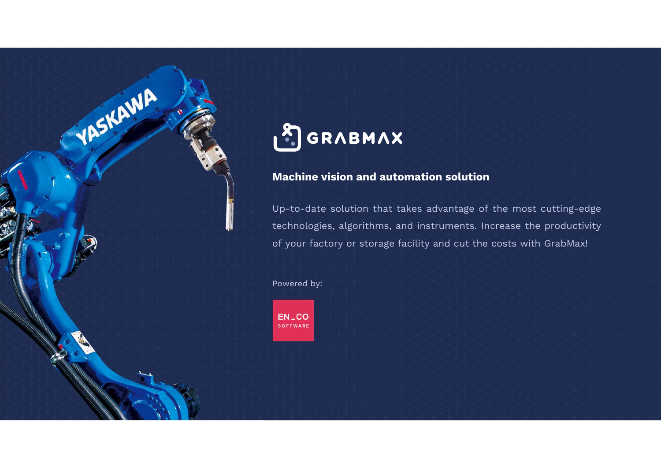

**GRABMAX**<br>Wachine vision and automation solution<br>Up-to-date solution that takes advantage of the most cutting-edge<br>technologies, algorithms, and instruments. Increase the productivity **GRABMAX**<br>Machine vision and automation solution<br>Up-to-date solution that takes advantage of the most cutting-edge<br>technologies, algorithms, and instruments. Increase the productivity<br>of your factory or storage facility an **Machine vision and automation solution**<br>Up-to-date solution that takes advantage of the most cutting-edge<br>technologies, algorithms, and instruments. Increase the productivity<br>of your factory or storage facility and cut th Up-to-date solution that takes actechnologies, algorithms, and instituted by:<br>of your factory or storage facility and instituted by:

YASKAWA

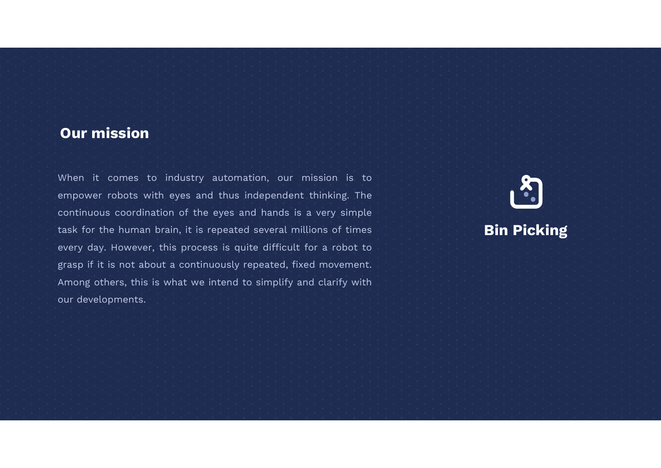## Our mission

**Our mission**<br>When it comes to industry automation, our mission is to<br>empower robots with eyes and thus independent thinking. The **Our mission**<br>When it comes to industry automation, our mission is to<br>empower robots with eyes and thus independent thinking. The<br>continuous coordination of the eyes and hands is a very simple **Our mission**<br>When it comes to industry automation, our mission is to<br>empower robots with eyes and thus independent thinking. The<br>continuous coordination of the eyes and hands is a very simple<br>task for the human brain, it When it comes to industry automation, our mission is to<br>empower robots with eyes and thus independent thinking. The<br>continuous coordination of the eyes and hands is a very simple<br>task for the human brain, it is repeated se When it comes to industry automation, our mission is to<br>empower robots with eyes and thus independent thinking. The<br>continuous coordination of the eyes and hands is a very simple<br>task for the human brain, it is repeated se When it comes to industry automation, our mission is to empower robots with eyes and thus independent thinking. The continuous coordination of the eyes and hands is a very simple task for the human brain, it is repeated se empower robots with eyes and thus independent thinking. The<br>continuous coordination of the eyes and hands is a very simple<br>task for the human brain, it is repeated several millions of times<br>every day. However, this process continuous coordination of th<br>task for the human brain, it is<br>every day. However, this proc<br>grasp if it is not about a conti<br>Among others, this is what we<br>our developments.



## Bin Picking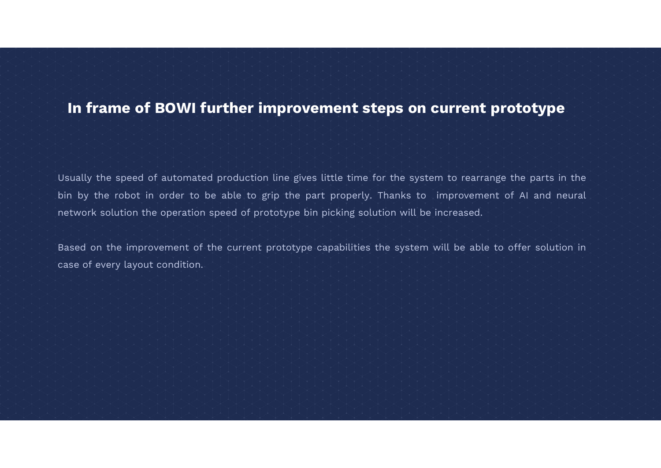## In frame of BOWI further improvement steps on current prototype

Usually the speed of automated production line gives little time for the system to rearrange the parts in the<br>Usually the speed of automated production line gives little time for the system to rearrange the parts in the<br>bi In frame of BOWI further improvement steps on current prototype<br>Usually the speed of automated production line gives little time for the system to rearrange the parts in the<br>bin by the robot in order to be able to grip the Usually the speed of automated production line gives little time for the system to rearrange the parts i<br>bin by the robot in order to be able to grip the part properly. Thanks to improvement of AI and r<br>network solution th Usually the speed of automated production line gives little time for the system to rearrange the parts in the<br>bin by the robot in order to be able to grip the part properly. Thanks to improvement of Al and neural<br>network s Usually the speed of automated production line<br>bin by the robot in order to be able to grip<br>network solution the operation speed of protot<br>Based on the improvement of the current pro<br>case of every layout condition.